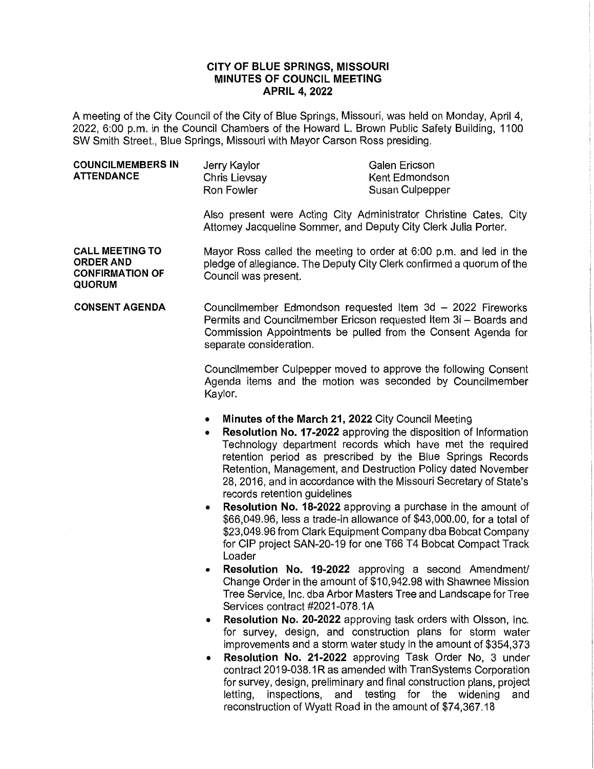## **CITY OF BLUE SPRINGS, MISSOURI MINUTES OF COUNCIL MEETING APRIL 4, 2022**

A meeting of the City Council of the City of Blue Springs, Missouri, was held on Monday, April 4, 2022, 6:00 p.m. in the Council Chambers of the Howard L. Brown Public Safety Building, 1100 SW Smith Street., Blue Springs, Missouri with Mayor Carson Ross presiding.

| Jerry Kaylor<br>ATTENDANCE<br>Kent Edmondson<br>Chris Lievsay<br>Susan Culpepper<br>Ron Fowler | Galen Ericson |
|------------------------------------------------------------------------------------------------|---------------|
|------------------------------------------------------------------------------------------------|---------------|

Also present were Acting City Administrator Christine Cates, City Attorney Jacqueline Sommer, and Deputy City Clerk Julia Porter.

**CALL MEETING TO ORDER AND CONFIRMATION OF QUORUM**  Mayor Ross called the meeting to order at 6:00 p.m. and led in the pledge of allegiance. The Deputy City Clerk confirmed a quorum of the Council was present.

**CONSENT AGENDA**  Councilmember Edmondson requested Item 3d - 2022 Fireworks Permits and Councilmember Ericson requested Item 3i - Boards and Commission Appointments be pulled from the Consent Agenda for separate consideration.

> Councilmember Culpepper moved to approve the following Consent Agenda items and the motion was seconded by Councilmember Kaylor.

- **Minutes of the March 21, 2022** City Council Meeting
- **Resolution No. 17-2022** approving the disposition of Information Technology department records which have met the required retention period as prescribed by the Blue Springs Records Retention, Management, and Destruction Policy dated November 28, 2016, and in accordance with the Missouri Secretary of State's records retention guidelines
- **Resolution No. 18-2022** approving a purchase in the amount of \$66,049.96, less a trade-in allowance of \$43,000.00, for a total of \$23,049.96 from Clark Equipment Company dba Bobcat Company for CIP project SAN-20-19 for one T66 T4 Bobcat Compact Track Loader
- **Resolution No. 19-2022** approving a second Amendment/ Change Order in the amount of \$10,942.98 with Shawnee Mission Tree Service, Inc. dba Arbor Masters Tree and Landscape for Tree Services contract #2021-078.1A
- **Resolution No. 20-2022** approving task orders with Olsson, Inc. for survey, design, and construction plans for storm water improvements and a storm water study in the amount of \$354,373
- **Resolution No. 21-2022** approving Task Order No, 3 under contract 2019-038.1R as amended with TranSystems Corporation for survey, design, preliminary and final construction plans, project letting, inspections, and testing for the widening and reconstruction of Wyatt Road in the amount of \$74,367.18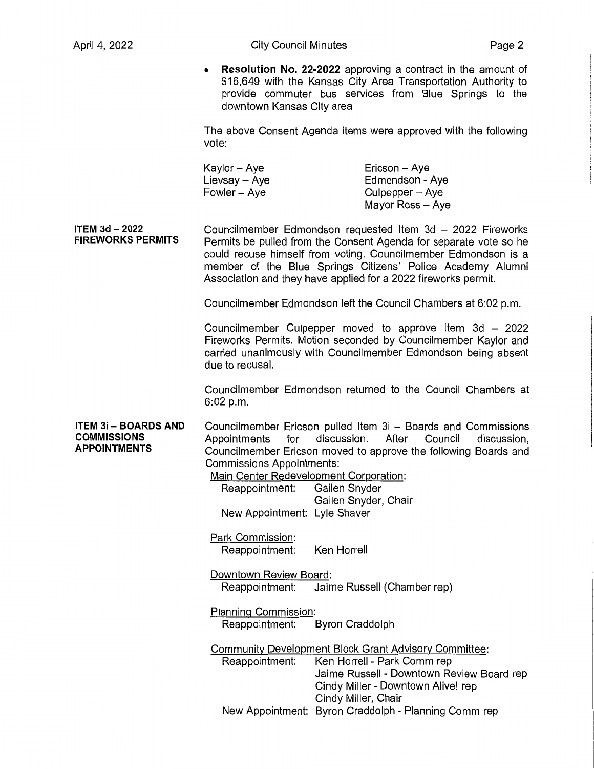**Resolution No. 22-2022** approving a contract in the amount of \$16,649 with the Kansas City Area Transportation Authority to provide commuter bus services from Blue Springs to the downtown Kansas City area

The above Consent Agenda items were approved with the following vote:

Kaylor-Aye  $Lievsay - Aye$ Fowler - Aye Ericson - Aye Edmondson - Aye  $Culpepper - Aye$ Mayor Ross - Aye

**ITEM 3d** - **2022 FIREWORKS PERMITS**  Councilmember Edmondson requested Item 3d - 2022 Fireworks Permits be pulled from the Consent Agenda for separate vote so he could recuse himself from voting. Councilmember Edmondson is a member of the Blue Springs Citizens' Police Academy Alumni Association and they have applied for a 2022 fireworks permit.

Councilmember Edmondson left the Council Chambers at 6:02 p.m.

Councilmember Culpepper moved to approve Item  $3d - 2022$ Fireworks Permits. Motion seconded by Councilmember Kaylor and carried unanimously with Councilmember Edmondson being absent due to recusal.

Councilmember Edmondson returned to the Council Chambers at 6:02 p.m.

**ITEM 3i - BOARDS AND COMMISSIONS APPOINTMENTS**  Councilmember Ericson pulled Item 3i - Boards and Commissions Appointments for discussion. After Council discussion, Councilmember Ericson moved to approve the following Boards and Commissions Appointments:

Main Center Redevelopment Corporation:

Reappointment: Gailen Snyder Gailen Snyder, Chair New Appointment: Lyle Shaver

Park Commission: Reappointment: Ken Horrell

Downtown Review Board: Reappointment: Jaime Russell (Chamber rep)

Planning Commission: Reappointment: Byron Craddolph

Community Development Block Grant Advisory Committee: Reappointment: Ken Horrell - Park Comm rep Jaime Russell - Downtown Review Board rep Cindy Miller- Downtown Alive! rep Cindy Miller, Chair New Appointment: Byron Craddolph - Planning Comm rep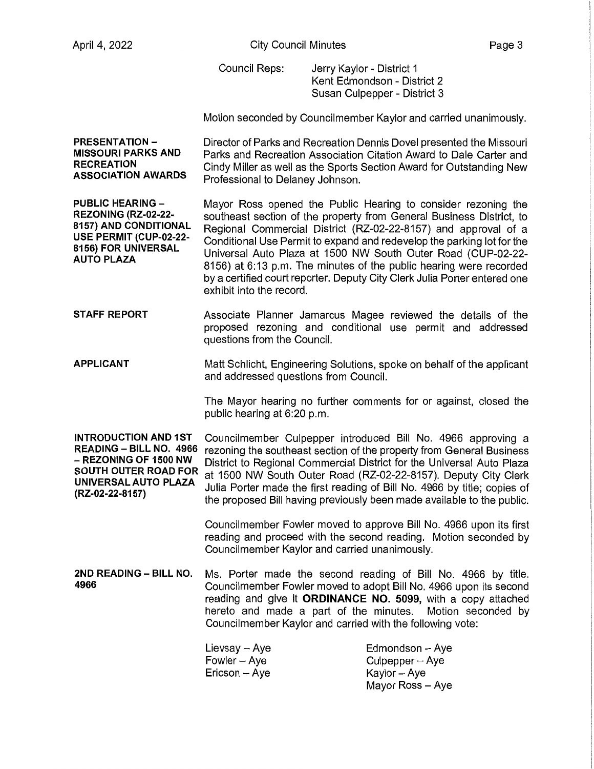Council Reps: Jerry Kaylor - District 1 Kent Edmondson - District 2 Susan Culpepper - District 3

Motion seconded by Councilmember Kaylor and carried unanimously.

**PRESENTATION-MISSOURI PARKS AND RECREATION ASSOCIATION AWARDS**  Director of Parks and Recreation Dennis Dovel presented the Missouri Parks and Recreation Association Citation Award to Dale Carter and Cindy Miller as well as the Sports Section Award for Outstanding New Professional to Delaney Johnson.

**PUBLIC HEARING** - **REZONING (RZ-02-22- 8157) AND CONDITIONAL USE PERMIT (CUP-02-22- 8156) FOR UNIVERSAL AUTO PLAZA**  Mayor Ross opened the Public Hearing to consider rezoning the southeast section of the property from General Business District, to Regional Commercial District (RZ-02-22-8157) and approval of a Conditional Use Permit to expand and redevelop the parking lot for the Universal Auto Plaza at 1500 NW South Outer Road (CUP-02-22- 8156) at 6: 13 p.m. The minutes of the public hearing were recorded by a certified court reporter. Deputy City Clerk Julia Porter entered one exhibit into the record.

**STAFF REPORT**  Associate Planner Jamarcus Magee reviewed the details of the proposed rezoning and conditional use permit and addressed questions from the Council.

**APPLICANT**  Matt Schlicht, Engineering Solutions, spoke on behalf of the applicant and addressed questions from Council.

> The Mayor hearing no further comments for or against, closed the public hearing at 6:20 p.m.

**INTRODUCTION AND 1ST** Councilmember Culpepper introduced Bill No. 4966 approving a<br>READING – BILL NO. 4966 rezoning the southeast section of the property from General Business **READING - BILL NO. 4966** rezoning the southeast section of the property from General Business - **REZONING OF 1500 NW** District to Regional Commercial District for the Universal Auto Plaza **SOUTH OUTER ROAD FOR** at 1500 NW South Outer Road (RZ-02-22-8157). Deputy City Clerk Julia Porter made the first reading of Bill No. 4966 by title; copies of **(RZ-0<sup>2</sup> - 22- 8157 >** the proposed Bill having previously been made available to the public.

> Councilmember Fowler moved to approve Bill No. 4966 upon its first reading and proceed with the second reading. Motion seconded by Councilmember Kaylor and carried unanimously.

**2ND READING - BILL NO.** Ms. Porter made the second reading of Bill No. 4966 by title. **4966** Councilmember Fowler moved to adopt Bill No. 4966 upon its second reading and give it **ORDINANCE NO. 5099,** with a copy attached hereto and made a part of the minutes. Motion seconded by Councilmember Kaylor and carried with the following vote:

| Lievsay - Aye  | Edmondson - Aye   |
|----------------|-------------------|
| Fowler – Aye   | $Culpepper - Aye$ |
| Ericson -- Aye | Kaylor – Aye      |
|                | Mayor Ross – Ave  |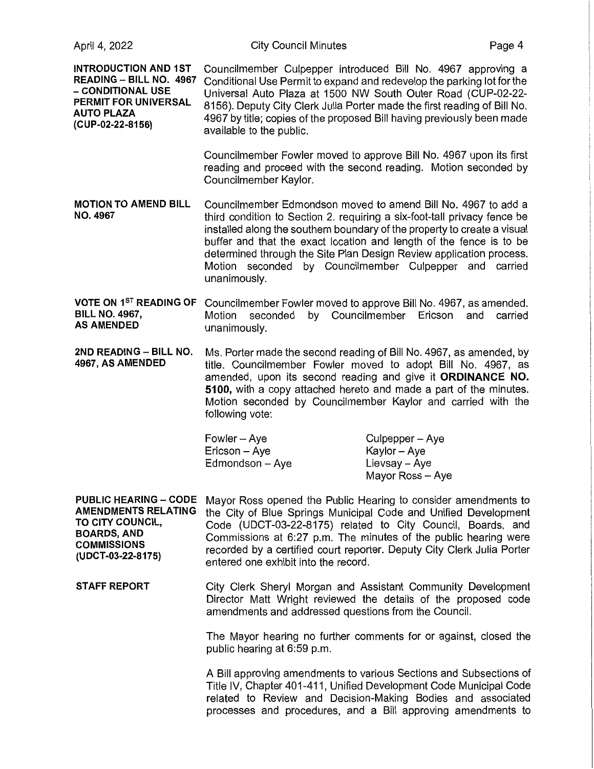| April 4, 2022 |  |  |  |
|---------------|--|--|--|
|---------------|--|--|--|

**INTRODUCTION AND 1ST READING** - **BILL NO. 4967**  - **CONDITIONAL USE PERMIT FOR UNIVERSAL AUTO PLAZA (CUP-02-22-8156)**  Councilmember Culpepper introduced Bill No. 4967 approving a Conditional Use Permit to expand and redevelop the parking lot for the Universal Auto Plaza at 1500 NW South Outer Road (CUP-02-22- 8156). Deputy City Clerk Julia Porter made the first reading of Bill No. 4967 by title; copies of the proposed Bill having previously been made available to the public. Councilmember Fowler moved to approve Bill No. 4967 upon its first reading and proceed with the second reading. Motion seconded by Councilmember Kaylor. **MOTION TO AMEND BILL** Councilmember Edmondson moved to amend Bill No. 4967 to add a **NO. 4967** third condition to Section 2. requiring a six-foot-tall privacy fence be installed along the southern boundary of the property to create a visual buffer and that the exact location and length of the fence is to be determined through the Site Plan Design Review application process. Motion seconded by Councilmember Culpepper and carried unanimously. **VOTE ON** 1<sup>5</sup>r **READING OF** Councilmember Fowler moved to approve Bill No. 4967, as amended. **BILL NO. 4967, Motion seconded by Councilmember Ericson and carried AS AMENDED** unanimously. **2ND READING** - **BILL NO.** Ms. Porter made the second reading of Bill No. 4967, as amended, by **4967, AS AMENDED** title. Councilmember Fowler moved to adopt Bill No. 4967, as amended, upon its second reading and give it **ORDINANCE NO. 5100,** with a copy attached hereto and made a part of the minutes. Motion seconded by Councilmember Kaylor and carried with the following vote: Fowler-Aye Culpepper – Aye

| $Fowler - Aye$  | Culpepper – Aye  |
|-----------------|------------------|
| Ericson – Aye   | Kaylor – Aye     |
| Edmondson - Aye | Lievsay - Aye    |
|                 | Mayor Ross - Aye |

**PUBLIC HEARING** - **CODE AMENDMENTS RELATING TO CITY COUNCIL, BOARDS, AND COMMISSIONS (UDCT-03-22-8175)**  Mayor Ross opened the Public Hearing to consider amendments to the City of Blue Springs Municipal Code and Unified Development Code (UDCT-03-22-8175) related to City Council, Boards, and Commissions at 6:27 p.m. The minutes of the public hearing were recorded by a certified court reporter. Deputy City Clerk Julia Porter entered one exhibit into the record.

**STAFF REPORT**  City Clerk Sheryl Morgan and Assistant Community Development Director Matt Wright reviewed the details of the proposed code amendments and addressed questions from the Council.

> The Mayor hearing no further comments for or against, closed the public hearing at 6:59 p.m.

> A Bill approving amendments to various Sections and Subsections of Title IV, Chapter 401-411, Unified Development Code Municipal Code related to Review and Decision-Making Bodies and associated processes and procedures, and a Bill approving amendments to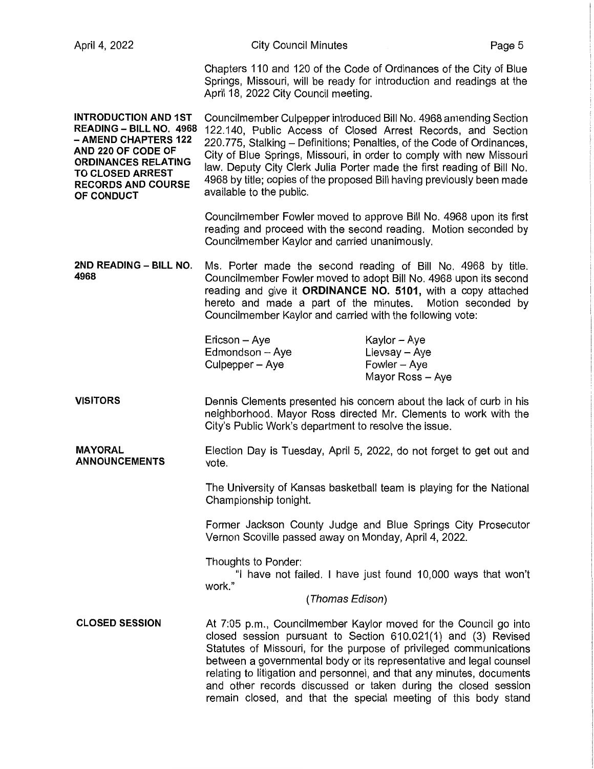| April 4, 2022                                                                                                                                                                                            | <b>City Council Minutes</b>                                                                                                                                                                                                                                                                                                                                                                                                                                                                 |                                                                   | Page 5 |
|----------------------------------------------------------------------------------------------------------------------------------------------------------------------------------------------------------|---------------------------------------------------------------------------------------------------------------------------------------------------------------------------------------------------------------------------------------------------------------------------------------------------------------------------------------------------------------------------------------------------------------------------------------------------------------------------------------------|-------------------------------------------------------------------|--------|
|                                                                                                                                                                                                          | Chapters 110 and 120 of the Code of Ordinances of the City of Blue<br>Springs, Missouri, will be ready for introduction and readings at the<br>April 18, 2022 City Council meeting.                                                                                                                                                                                                                                                                                                         |                                                                   |        |
| <b>INTRODUCTION AND 1ST</b><br>READING - BILL NO. 4968<br>- AMEND CHAPTERS 122<br>AND 220 OF CODE OF<br><b>ORDINANCES RELATING</b><br><b>TO CLOSED ARREST</b><br><b>RECORDS AND COURSE</b><br>OF CONDUCT | Councilmember Culpepper introduced Bill No. 4968 amending Section<br>122.140, Public Access of Closed Arrest Records, and Section<br>220.775, Stalking - Definitions; Penalties, of the Code of Ordinances,<br>City of Blue Springs, Missouri, in order to comply with new Missouri<br>law. Deputy City Clerk Julia Porter made the first reading of Bill No.<br>4968 by title; copies of the proposed Bill having previously been made<br>available to the public.                         |                                                                   |        |
|                                                                                                                                                                                                          | Councilmember Fowler moved to approve Bill No. 4968 upon its first<br>reading and proceed with the second reading. Motion seconded by<br>Councilmember Kaylor and carried unanimously.                                                                                                                                                                                                                                                                                                      |                                                                   |        |
| 2ND READING - BILL NO.<br>4968                                                                                                                                                                           | Ms. Porter made the second reading of Bill No. 4968 by title.<br>Councilmember Fowler moved to adopt Bill No. 4968 upon its second<br>reading and give it ORDINANCE NO. 5101, with a copy attached<br>hereto and made a part of the minutes. Motion seconded by<br>Councilmember Kaylor and carried with the following vote:                                                                                                                                                                |                                                                   |        |
|                                                                                                                                                                                                          | Ericson - Aye<br>Edmondson - Aye<br>Culpepper - Aye                                                                                                                                                                                                                                                                                                                                                                                                                                         | Kaylor – Aye<br>Lievsay - Aye<br>Fowler - Aye<br>Mayor Ross - Aye |        |
| <b>VISITORS</b>                                                                                                                                                                                          | Dennis Clements presented his concern about the lack of curb in his<br>neighborhood. Mayor Ross directed Mr. Clements to work with the<br>City's Public Work's department to resolve the issue.                                                                                                                                                                                                                                                                                             |                                                                   |        |
| <b>MAYORAL</b><br><b>ANNOUNCEMENTS</b>                                                                                                                                                                   | Election Day is Tuesday, April 5, 2022, do not forget to get out and<br>vote.                                                                                                                                                                                                                                                                                                                                                                                                               |                                                                   |        |
|                                                                                                                                                                                                          | The University of Kansas basketball team is playing for the National<br>Championship tonight.                                                                                                                                                                                                                                                                                                                                                                                               |                                                                   |        |
|                                                                                                                                                                                                          | Former Jackson County Judge and Blue Springs City Prosecutor<br>Vernon Scoville passed away on Monday, April 4, 2022.                                                                                                                                                                                                                                                                                                                                                                       |                                                                   |        |
|                                                                                                                                                                                                          | Thoughts to Ponder:<br>work."<br>(Thomas Edison)                                                                                                                                                                                                                                                                                                                                                                                                                                            | "I have not failed. I have just found 10,000 ways that won't      |        |
| <b>CLOSED SESSION</b>                                                                                                                                                                                    | At 7:05 p.m., Councilmember Kaylor moved for the Council go into<br>closed session pursuant to Section 610.021(1) and (3) Revised<br>Statutes of Missouri, for the purpose of privileged communications<br>between a governmental body or its representative and legal counsel<br>relating to litigation and personnel, and that any minutes, documents<br>and other records discussed or taken during the closed session<br>remain closed, and that the special meeting of this body stand |                                                                   |        |